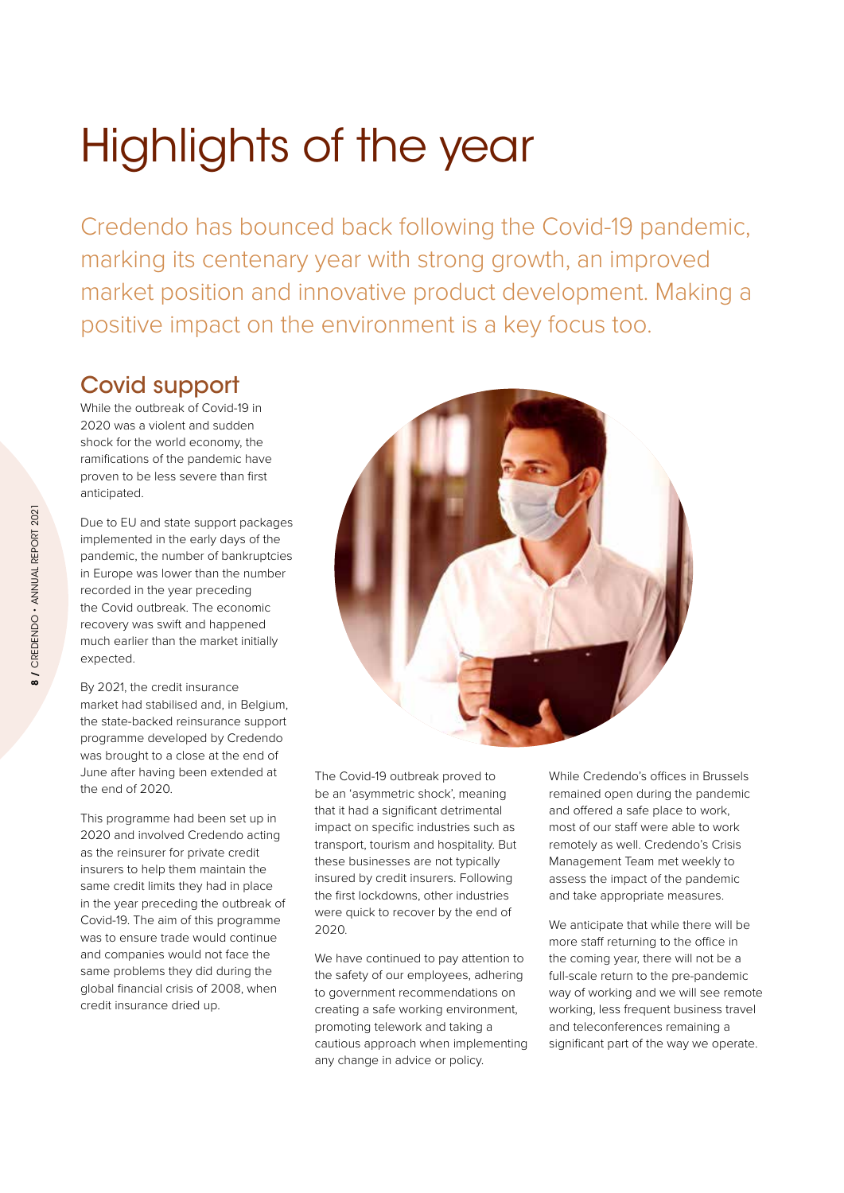# Highlights of the year

Credendo has bounced back following the Covid-19 pandemic, marking its centenary year with strong growth, an improved market position and innovative product development. Making a positive impact on the environment is a key focus too.

## Covid support

While the outbreak of Covid-19 in 2020 was a violent and sudden shock for the world economy, the ramifications of the pandemic have proven to be less severe than first anticipated.

Due to EU and state support packages implemented in the early days of the pandemic, the number of bankruptcies in Europe was lower than the number recorded in the year preceding the Covid outbreak. The economic recovery was swift and happened much earlier than the market initially expected.

By 2021, the credit insurance market had stabilised and, in Belgium, the state-backed reinsurance support programme developed by Credendo was brought to a close at the end of June after having been extended at the end of 2020.

This programme had been set up in 2020 and involved Credendo acting as the reinsurer for private credit insurers to help them maintain the same credit limits they had in place in the year preceding the outbreak of Covid-19. The aim of this programme was to ensure trade would continue and companies would not face the same problems they did during the global financial crisis of 2008, when credit insurance dried up.



The Covid-19 outbreak proved to be an 'asymmetric shock', meaning that it had a significant detrimental impact on specific industries such as transport, tourism and hospitality. But these businesses are not typically insured by credit insurers. Following the first lockdowns, other industries were quick to recover by the end of 2020.

We have continued to pay attention to the safety of our employees, adhering to government recommendations on creating a safe working environment, promoting telework and taking a cautious approach when implementing any change in advice or policy.

While Credendo's offices in Brussels remained open during the pandemic and offered a safe place to work, most of our staff were able to work remotely as well. Credendo's Crisis Management Team met weekly to assess the impact of the pandemic and take appropriate measures.

We anticipate that while there will be more staff returning to the office in the coming year, there will not be a full-scale return to the pre-pandemic way of working and we will see remote working, less frequent business travel and teleconferences remaining a significant part of the way we operate.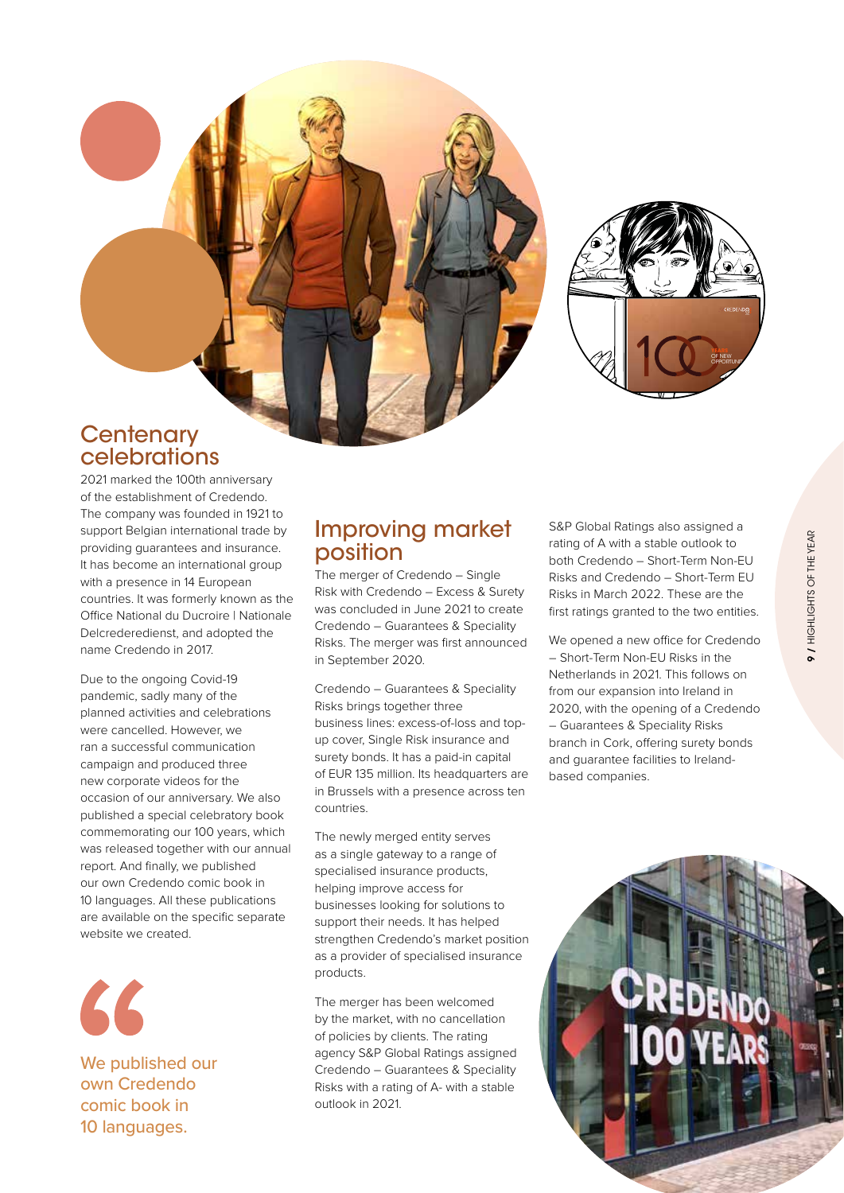



#### **Centenary** celebrations

2021 marked the 100th anniversary of the establishment of Credendo. The company was founded in 1921 to support Belgian international trade by providing guarantees and insurance. It has become an international group with a presence in 14 European countries. It was formerly known as the Office National du Ducroire | Nationale Delcrederedienst, and adopted the name Credendo in 2017.

Due to the ongoing Covid-19 pandemic, sadly many of the planned activities and celebrations were cancelled. However, we ran a successful communication campaign and produced three new corporate videos for the occasion of our anniversary. We also published a special celebratory book commemorating our 100 years, which was released together with our annual report. And finally, we published our own Credendo comic book in 10 languages. All these publications are available on the specific separate website we created.



We published our own Credendo comic book in 10 languages.

#### Improving market position

The merger of Credendo – Single Risk with Credendo – Excess & Surety was concluded in June 2021 to create Credendo – Guarantees & Speciality Risks. The merger was first announced in September 2020.

Credendo – Guarantees & Speciality Risks brings together three business lines: excess-of-loss and topup cover, Single Risk insurance and surety bonds. It has a paid-in capital of EUR 135 million. Its headquarters are in Brussels with a presence across ten countries.

The newly merged entity serves as a single gateway to a range of specialised insurance products, helping improve access for businesses looking for solutions to support their needs. It has helped strengthen Credendo's market position as a provider of specialised insurance products.

The merger has been welcomed by the market, with no cancellation of policies by clients. The rating agency S&P Global Ratings assigned Credendo – Guarantees & Speciality Risks with a rating of A- with a stable outlook in 2021.

S&P Global Ratings also assigned a rating of A with a stable outlook to both Credendo – Short-Term Non-EU Risks and Credendo – Short-Term EU Risks in March 2022. These are the first ratings granted to the two entities.

We opened a new office for Credendo – Short-Term Non-EU Risks in the Netherlands in 2021. This follows on from our expansion into Ireland in 2020, with the opening of a Credendo – Guarantees & Speciality Risks branch in Cork, offering surety bonds and guarantee facilities to Irelandbased companies.

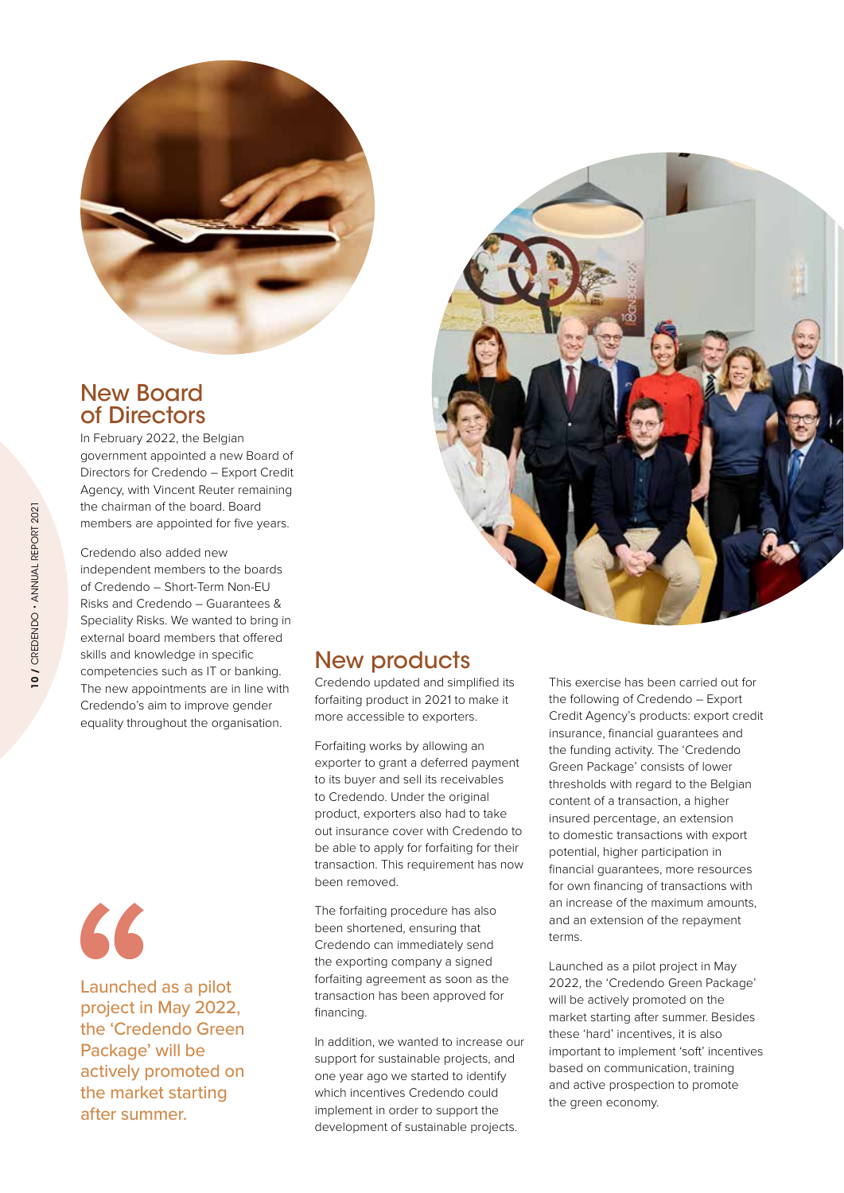

### New Board of Directors

In February 2022, the Belgian government appointed a new Board of Directors for Credendo – Export Credit Agency, with Vincent Reuter remaining the chairman of the board. Board members are appointed for five years.

Credendo also added new independent members to the boards of Credendo – Short-Term Non-EU Risks and Credendo – Guarantees & Speciality Risks. We wanted to bring in external board members that offered skills and knowledge in specific competencies such as IT or banking. The new appointments are in line with Credendo's aim to improve gender equality throughout the organisation.



Launched as a pilot project in May 2022, the 'Credendo Green Package' will be actively promoted on the market starting after summer.



## **New products**

Credendo updated and simplified its forfaiting product in 2021 to make it more accessible to exporters.

Forfaiting works by allowing an exporter to grant a deferred payment to its buyer and sell its receivables to Credendo. Under the original product, exporters also had to take out insurance cover with Credendo to be able to apply for forfaiting for their transaction. This requirement has now been removed.

The forfaiting procedure has also been shortened, ensuring that Credendo can immediately send the exporting company a signed forfaiting agreement as soon as the transaction has been approved for financing.

In addition, we wanted to increase our support for sustainable projects, and one year ago we started to identify which incentives Credendo could implement in order to support the development of sustainable projects.

This exercise has been carried out for the following of Credendo – Export Credit Agency's products: export credit insurance, financial guarantees and the funding activity. The 'Credendo Green Package' consists of lower thresholds with regard to the Belgian content of a transaction, a higher insured percentage, an extension to domestic transactions with export potential, higher participation in financial guarantees, more resources for own financing of transactions with an increase of the maximum amounts, and an extension of the repayment terms.

Launched as a pilot project in May 2022, the 'Credendo Green Package' will be actively promoted on the market starting after summer. Besides these 'hard' incentives, it is also important to implement 'soft' incentives based on communication, training and active prospection to promote the green economy.